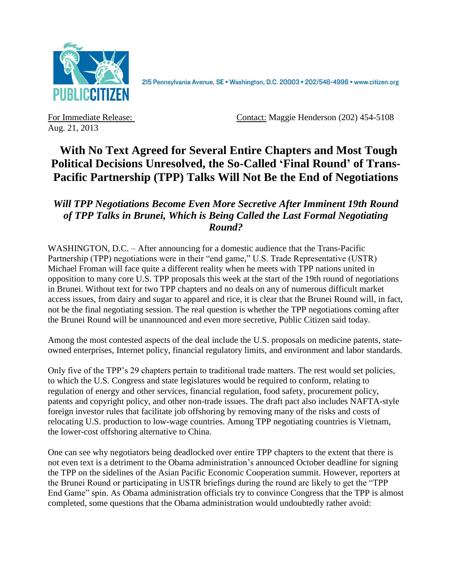

2I5 Pennsylvania Avenue, SE · Washington, D.C. 20003 · 202/546-4996 · www.citizen.org

Aug. 21, 2013

For Immediate Release: Contact: Maggie Henderson (202) 454-5108

## **With No Text Agreed for Several Entire Chapters and Most Tough Political Decisions Unresolved, the So-Called 'Final Round' of Trans-Pacific Partnership (TPP) Talks Will Not Be the End of Negotiations**

## *Will TPP Negotiations Become Even More Secretive After Imminent 19th Round of TPP Talks in Brunei, Which is Being Called the Last Formal Negotiating Round?*

WASHINGTON, D.C. – After announcing for a domestic audience that the Trans-Pacific Partnership (TPP) negotiations were in their "end game," U.S. Trade Representative (USTR) Michael Froman will face quite a different reality when he meets with TPP nations united in opposition to many core U.S. TPP proposals this week at the start of the 19th round of negotiations in Brunei. Without text for two TPP chapters and no deals on any of numerous difficult market access issues, from dairy and sugar to apparel and rice, it is clear that the Brunei Round will, in fact, not be the final negotiating session. The real question is whether the TPP negotiations coming after the Brunei Round will be unannounced and even more secretive, Public Citizen said today.

Among the most contested aspects of the deal include the U.S. proposals on medicine patents, stateowned enterprises, Internet policy, financial regulatory limits, and environment and labor standards.

Only five of the TPP's 29 chapters pertain to traditional trade matters. The rest would set policies, to which the U.S. Congress and state legislatures would be required to conform, relating to regulation of energy and other services, financial regulation, food safety, procurement policy, patents and copyright policy, and other non-trade issues. The draft pact also includes NAFTA-style foreign investor rules that facilitate job offshoring by removing many of the risks and costs of relocating U.S. production to low-wage countries. Among TPP negotiating countries is Vietnam, the lower-cost offshoring alternative to China.

One can see why negotiators being deadlocked over entire TPP chapters to the extent that there is not even text is a detriment to the Obama administration's announced October deadline for signing the TPP on the sidelines of the Asian Pacific Economic Cooperation summit. However, reporters at the Brunei Round or participating in USTR briefings during the round are likely to get the "TPP End Game" spin. As Obama administration officials try to convince Congress that the TPP is almost completed, some questions that the Obama administration would undoubtedly rather avoid: